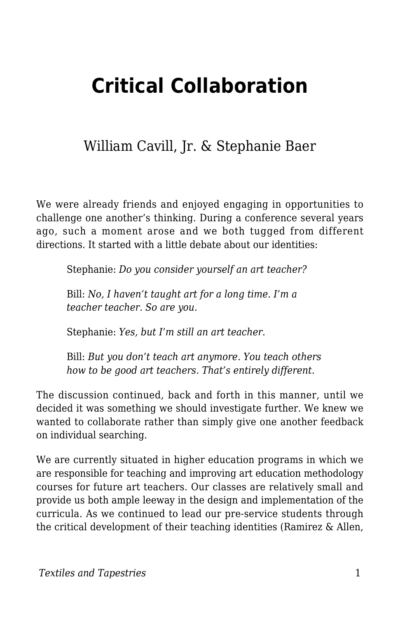# **Critical Collaboration**

### William Cavill, Jr. & Stephanie Baer

We were already friends and enjoyed engaging in opportunities to challenge one another's thinking. During a conference several years ago, such a moment arose and we both tugged from different directions. It started with a little debate about our identities:

Stephanie: *Do you consider yourself an art teacher?*

Bill: *No, I haven't taught art for a long time. I'm a teacher teacher. So are you.*

Stephanie: *Yes, but I'm still an art teacher.*

Bill: *But you don't teach art anymore. You teach others how to be good art teachers. That's entirely different.*

The discussion continued, back and forth in this manner, until we decided it was something we should investigate further. We knew we wanted to collaborate rather than simply give one another feedback on individual searching.

We are currently situated in higher education programs in which we are responsible for teaching and improving art education methodology courses for future art teachers. Our classes are relatively small and provide us both ample leeway in the design and implementation of the curricula. As we continued to lead our pre-service students through the critical development of their teaching identities (Ramirez & Allen,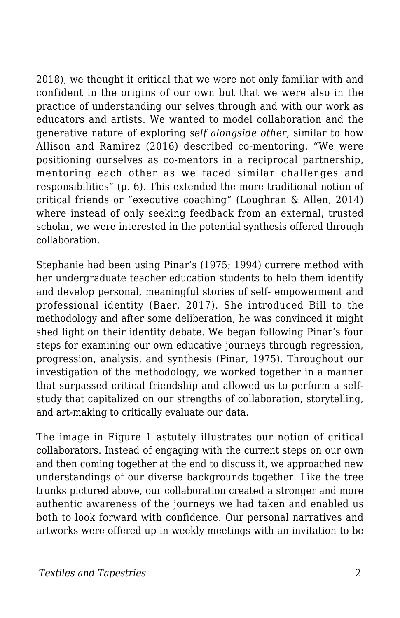2018), we thought it critical that we were not only familiar with and confident in the origins of our own but that we were also in the practice of understanding our selves through and with our work as educators and artists. We wanted to model collaboration and the generative nature of exploring *self alongside other*, similar to how Allison and Ramirez (2016) described co-mentoring. "We were positioning ourselves as co-mentors in a reciprocal partnership, mentoring each other as we faced similar challenges and responsibilities" (p. 6). This extended the more traditional notion of critical friends or "executive coaching" (Loughran & Allen, 2014) where instead of only seeking feedback from an external, trusted scholar, we were interested in the potential synthesis offered through collaboration.

Stephanie had been using Pinar's (1975; 1994) currere method with her undergraduate teacher education students to help them identify and develop personal, meaningful stories of self- empowerment and professional identity (Baer, 2017). She introduced Bill to the methodology and after some deliberation, he was convinced it might shed light on their identity debate. We began following Pinar's four steps for examining our own educative journeys through regression, progression, analysis, and synthesis (Pinar, 1975). Throughout our investigation of the methodology, we worked together in a manner that surpassed critical friendship and allowed us to perform a selfstudy that capitalized on our strengths of collaboration, storytelling, and art-making to critically evaluate our data.

The image in Figure 1 astutely illustrates our notion of critical collaborators. Instead of engaging with the current steps on our own and then coming together at the end to discuss it, we approached new understandings of our diverse backgrounds together. Like the tree trunks pictured above, our collaboration created a stronger and more authentic awareness of the journeys we had taken and enabled us both to look forward with confidence. Our personal narratives and artworks were offered up in weekly meetings with an invitation to be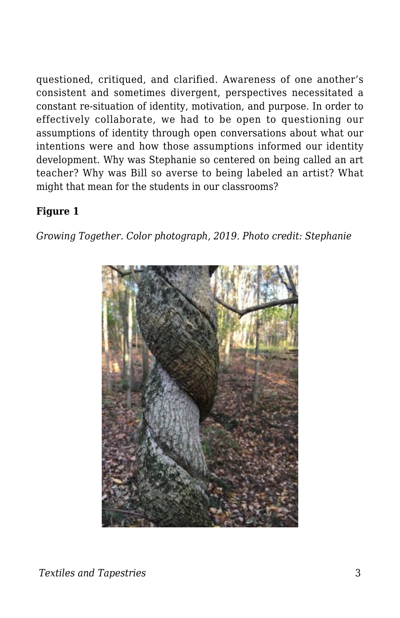questioned, critiqued, and clarified. Awareness of one another's consistent and sometimes divergent, perspectives necessitated a constant re-situation of identity, motivation, and purpose. In order to effectively collaborate, we had to be open to questioning our assumptions of identity through open conversations about what our intentions were and how those assumptions informed our identity development. Why was Stephanie so centered on being called an art teacher? Why was Bill so averse to being labeled an artist? What might that mean for the students in our classrooms?

#### **Figure 1**

*Growing Together. Color photograph, 2019. Photo credit: Stephanie*

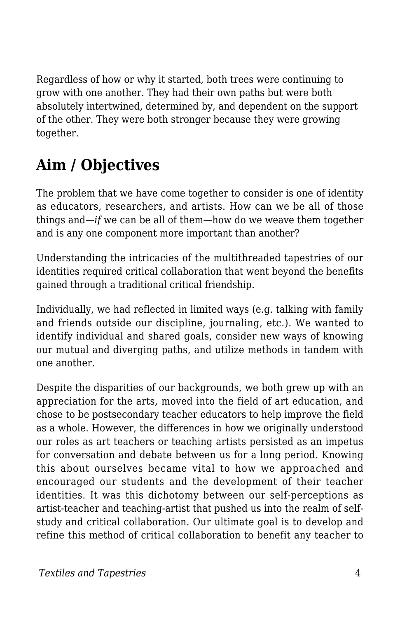Regardless of how or why it started, both trees were continuing to grow with one another. They had their own paths but were both absolutely intertwined, determined by, and dependent on the support of the other. They were both stronger because they were growing together.

# **Aim / Objectives**

The problem that we have come together to consider is one of identity as educators, researchers, and artists. How can we be all of those things and—*if* we can be all of them—how do we weave them together and is any one component more important than another?

Understanding the intricacies of the multithreaded tapestries of our identities required critical collaboration that went beyond the benefits gained through a traditional critical friendship.

Individually, we had reflected in limited ways (e.g. talking with family and friends outside our discipline, journaling, etc.). We wanted to identify individual and shared goals, consider new ways of knowing our mutual and diverging paths, and utilize methods in tandem with one another.

Despite the disparities of our backgrounds, we both grew up with an appreciation for the arts, moved into the field of art education, and chose to be postsecondary teacher educators to help improve the field as a whole. However, the differences in how we originally understood our roles as art teachers or teaching artists persisted as an impetus for conversation and debate between us for a long period. Knowing this about ourselves became vital to how we approached and encouraged our students and the development of their teacher identities. It was this dichotomy between our self-perceptions as artist-teacher and teaching-artist that pushed us into the realm of selfstudy and critical collaboration. Our ultimate goal is to develop and refine this method of critical collaboration to benefit any teacher to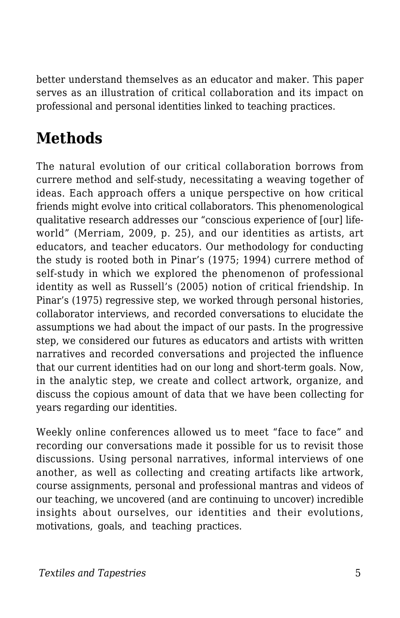better understand themselves as an educator and maker. This paper serves as an illustration of critical collaboration and its impact on professional and personal identities linked to teaching practices.

# **Methods**

The natural evolution of our critical collaboration borrows from currere method and self-study, necessitating a weaving together of ideas. Each approach offers a unique perspective on how critical friends might evolve into critical collaborators. This phenomenological qualitative research addresses our "conscious experience of [our] lifeworld" (Merriam, 2009, p. 25), and our identities as artists, art educators, and teacher educators. Our methodology for conducting the study is rooted both in Pinar's (1975; 1994) currere method of self-study in which we explored the phenomenon of professional identity as well as Russell's (2005) notion of critical friendship. In Pinar's (1975) regressive step, we worked through personal histories, collaborator interviews, and recorded conversations to elucidate the assumptions we had about the impact of our pasts. In the progressive step, we considered our futures as educators and artists with written narratives and recorded conversations and projected the influence that our current identities had on our long and short-term goals. Now, in the analytic step, we create and collect artwork, organize, and discuss the copious amount of data that we have been collecting for years regarding our identities.

Weekly online conferences allowed us to meet "face to face" and recording our conversations made it possible for us to revisit those discussions. Using personal narratives, informal interviews of one another, as well as collecting and creating artifacts like artwork, course assignments, personal and professional mantras and videos of our teaching, we uncovered (and are continuing to uncover) incredible insights about ourselves, our identities and their evolutions, motivations, goals, and teaching practices.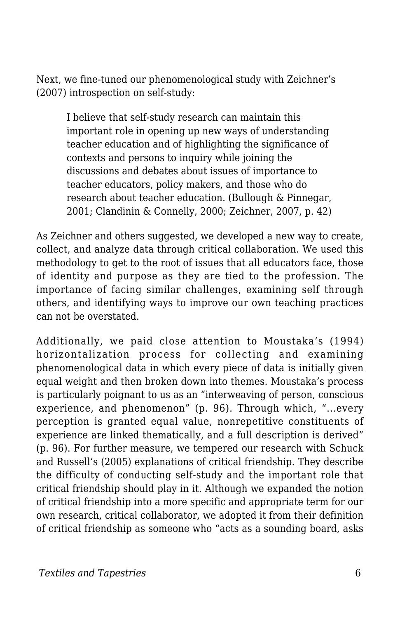Next, we fine-tuned our phenomenological study with Zeichner's (2007) introspection on self-study:

> I believe that self-study research can maintain this important role in opening up new ways of understanding teacher education and of highlighting the significance of contexts and persons to inquiry while joining the discussions and debates about issues of importance to teacher educators, policy makers, and those who do research about teacher education. (Bullough & Pinnegar, 2001; Clandinin & Connelly, 2000; Zeichner, 2007, p. 42)

As Zeichner and others suggested, we developed a new way to create, collect, and analyze data through critical collaboration. We used this methodology to get to the root of issues that all educators face, those of identity and purpose as they are tied to the profession. The importance of facing similar challenges, examining self through others, and identifying ways to improve our own teaching practices can not be overstated.

Additionally, we paid close attention to Moustaka's (1994) horizontalization process for collecting and examining phenomenological data in which every piece of data is initially given equal weight and then broken down into themes. Moustaka's process is particularly poignant to us as an "interweaving of person, conscious experience, and phenomenon" (p. 96). Through which, "...every perception is granted equal value, nonrepetitive constituents of experience are linked thematically, and a full description is derived" (p. 96). For further measure, we tempered our research with Schuck and Russell's (2005) explanations of critical friendship. They describe the difficulty of conducting self-study and the important role that critical friendship should play in it. Although we expanded the notion of critical friendship into a more specific and appropriate term for our own research, critical collaborator, we adopted it from their definition of critical friendship as someone who "acts as a sounding board, asks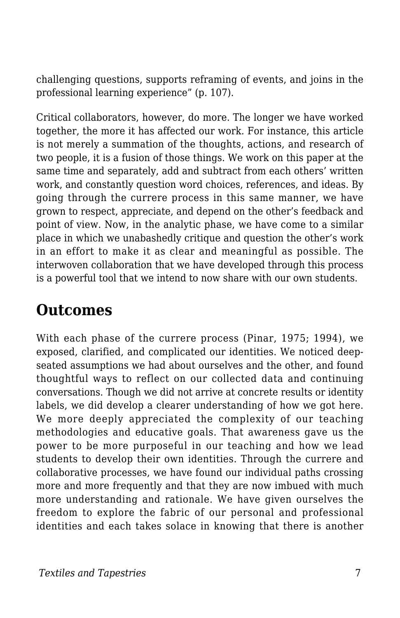challenging questions, supports reframing of events, and joins in the professional learning experience" (p. 107).

Critical collaborators, however, do more. The longer we have worked together, the more it has affected our work. For instance, this article is not merely a summation of the thoughts, actions, and research of two people, it is a fusion of those things. We work on this paper at the same time and separately, add and subtract from each others' written work, and constantly question word choices, references, and ideas. By going through the currere process in this same manner, we have grown to respect, appreciate, and depend on the other's feedback and point of view. Now, in the analytic phase, we have come to a similar place in which we unabashedly critique and question the other's work in an effort to make it as clear and meaningful as possible. The interwoven collaboration that we have developed through this process is a powerful tool that we intend to now share with our own students.

### **Outcomes**

With each phase of the currere process (Pinar, 1975; 1994), we exposed, clarified, and complicated our identities. We noticed deepseated assumptions we had about ourselves and the other, and found thoughtful ways to reflect on our collected data and continuing conversations. Though we did not arrive at concrete results or identity labels, we did develop a clearer understanding of how we got here. We more deeply appreciated the complexity of our teaching methodologies and educative goals. That awareness gave us the power to be more purposeful in our teaching and how we lead students to develop their own identities. Through the currere and collaborative processes, we have found our individual paths crossing more and more frequently and that they are now imbued with much more understanding and rationale. We have given ourselves the freedom to explore the fabric of our personal and professional identities and each takes solace in knowing that there is another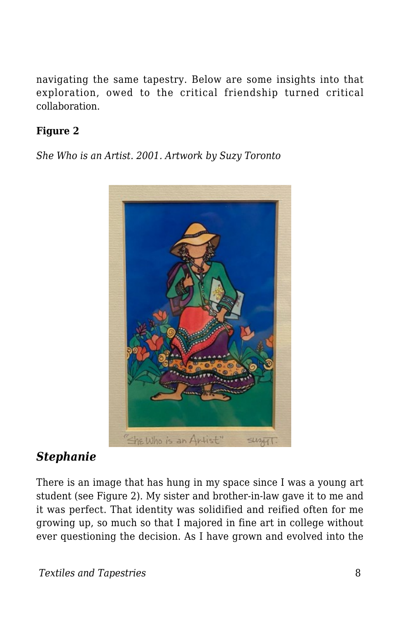navigating the same tapestry. Below are some insights into that exploration, owed to the critical friendship turned critical collaboration.

#### **Figure 2**

*She Who is an Artist. 2001. Artwork by Suzy Toronto*



#### *Stephanie*

There is an image that has hung in my space since I was a young art student (see Figure 2). My sister and brother-in-law gave it to me and it was perfect. That identity was solidified and reified often for me growing up, so much so that I majored in fine art in college without ever questioning the decision. As I have grown and evolved into the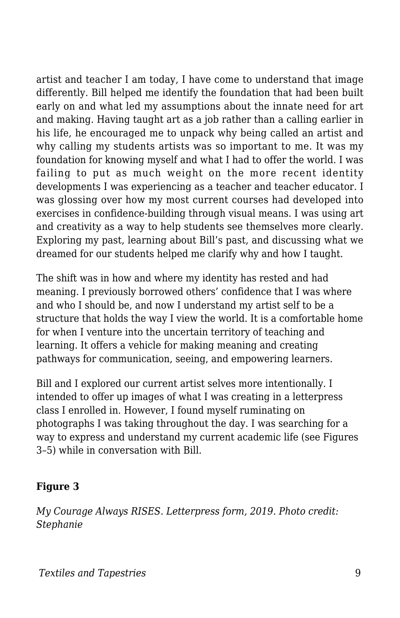artist and teacher I am today, I have come to understand that image differently. Bill helped me identify the foundation that had been built early on and what led my assumptions about the innate need for art and making. Having taught art as a job rather than a calling earlier in his life, he encouraged me to unpack why being called an artist and why calling my students artists was so important to me. It was my foundation for knowing myself and what I had to offer the world. I was failing to put as much weight on the more recent identity developments I was experiencing as a teacher and teacher educator. I was glossing over how my most current courses had developed into exercises in confidence-building through visual means. I was using art and creativity as a way to help students see themselves more clearly. Exploring my past, learning about Bill's past, and discussing what we dreamed for our students helped me clarify why and how I taught.

The shift was in how and where my identity has rested and had meaning. I previously borrowed others' confidence that I was where and who I should be, and now I understand my artist self to be a structure that holds the way I view the world. It is a comfortable home for when I venture into the uncertain territory of teaching and learning. It offers a vehicle for making meaning and creating pathways for communication, seeing, and empowering learners.

Bill and I explored our current artist selves more intentionally. I intended to offer up images of what I was creating in a letterpress class I enrolled in. However, I found myself ruminating on photographs I was taking throughout the day. I was searching for a way to express and understand my current academic life (see Figures 3–5) while in conversation with Bill.

#### **Figure 3**

*My Courage Always RISES. Letterpress form, 2019. Photo credit: Stephanie*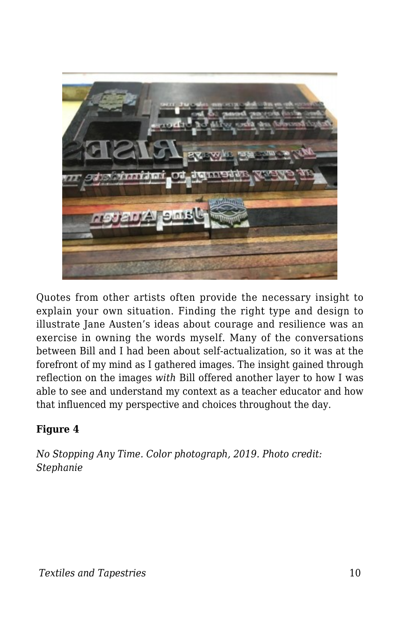

Quotes from other artists often provide the necessary insight to explain your own situation. Finding the right type and design to illustrate Jane Austen's ideas about courage and resilience was an exercise in owning the words myself. Many of the conversations between Bill and I had been about self-actualization, so it was at the forefront of my mind as I gathered images. The insight gained through reflection on the images *with* Bill offered another layer to how I was able to see and understand my context as a teacher educator and how that influenced my perspective and choices throughout the day.

#### **Figure 4**

*No Stopping Any Time. Color photograph, 2019. Photo credit: Stephanie*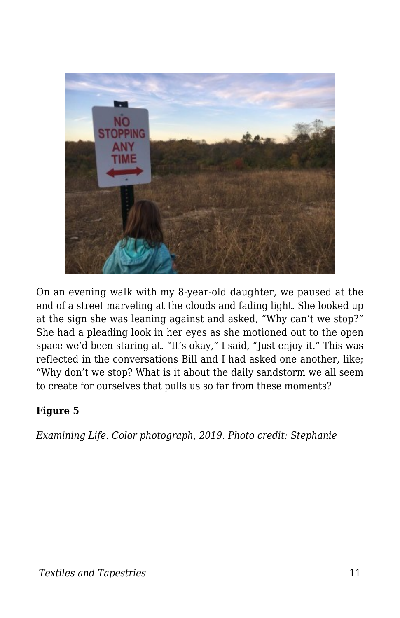

On an evening walk with my 8-year-old daughter, we paused at the end of a street marveling at the clouds and fading light. She looked up at the sign she was leaning against and asked, "Why can't we stop?" She had a pleading look in her eyes as she motioned out to the open space we'd been staring at. "It's okay," I said, "Just enjoy it." This was reflected in the conversations Bill and I had asked one another, like; "Why don't we stop? What is it about the daily sandstorm we all seem to create for ourselves that pulls us so far from these moments?

#### **Figure 5**

*Examining Life. Color photograph, 2019. Photo credit: Stephanie*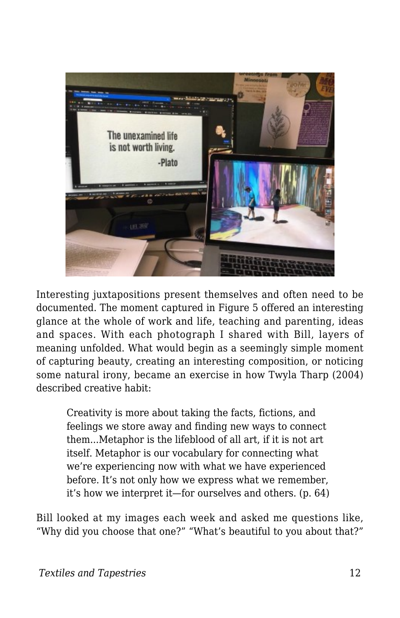

Interesting juxtapositions present themselves and often need to be documented. The moment captured in Figure 5 offered an interesting glance at the whole of work and life, teaching and parenting, ideas and spaces. With each photograph I shared with Bill, layers of meaning unfolded. What would begin as a seemingly simple moment of capturing beauty, creating an interesting composition, or noticing some natural irony, became an exercise in how Twyla Tharp (2004) described creative habit:

Creativity is more about taking the facts, fictions, and feelings we store away and finding new ways to connect them...Metaphor is the lifeblood of all art, if it is not art itself. Metaphor is our vocabulary for connecting what we're experiencing now with what we have experienced before. It's not only how we express what we remember, it's how we interpret it—for ourselves and others. (p. 64)

Bill looked at my images each week and asked me questions like, "Why did you choose that one?" "What's beautiful to you about that?"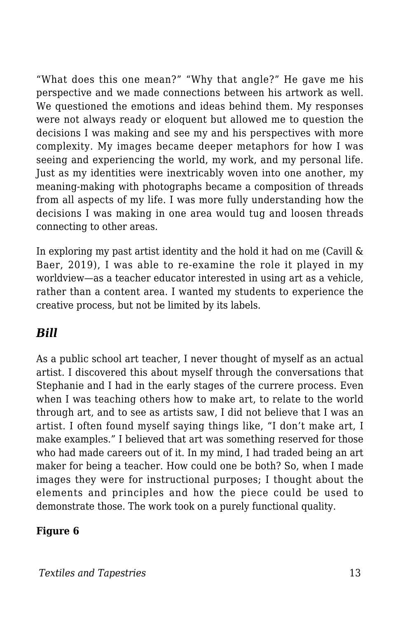"What does this one mean?" "Why that angle?" He gave me his perspective and we made connections between his artwork as well. We questioned the emotions and ideas behind them. My responses were not always ready or eloquent but allowed me to question the decisions I was making and see my and his perspectives with more complexity. My images became deeper metaphors for how I was seeing and experiencing the world, my work, and my personal life. Just as my identities were inextricably woven into one another, my meaning-making with photographs became a composition of threads from all aspects of my life. I was more fully understanding how the decisions I was making in one area would tug and loosen threads connecting to other areas.

In exploring my past artist identity and the hold it had on me (Cavill & Baer, 2019), I was able to re-examine the role it played in my worldview—as a teacher educator interested in using art as a vehicle, rather than a content area. I wanted my students to experience the creative process, but not be limited by its labels.

#### *Bill*

As a public school art teacher, I never thought of myself as an actual artist. I discovered this about myself through the conversations that Stephanie and I had in the early stages of the currere process. Even when I was teaching others how to make art, to relate to the world through art, and to see as artists saw, I did not believe that I was an artist. I often found myself saying things like, "I don't make art, I make examples." I believed that art was something reserved for those who had made careers out of it. In my mind, I had traded being an art maker for being a teacher. How could one be both? So, when I made images they were for instructional purposes; I thought about the elements and principles and how the piece could be used to demonstrate those. The work took on a purely functional quality.

#### **Figure 6**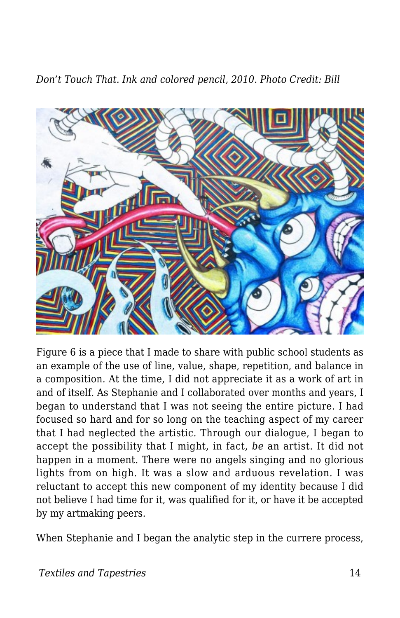*Don't Touch That. Ink and colored pencil, 2010. Photo Credit: Bill*



Figure 6 is a piece that I made to share with public school students as an example of the use of line, value, shape, repetition, and balance in a composition. At the time, I did not appreciate it as a work of art in and of itself. As Stephanie and I collaborated over months and years, I began to understand that I was not seeing the entire picture. I had focused so hard and for so long on the teaching aspect of my career that I had neglected the artistic. Through our dialogue, I began to accept the possibility that I might, in fact, *be* an artist. It did not happen in a moment. There were no angels singing and no glorious lights from on high. It was a slow and arduous revelation. I was reluctant to accept this new component of my identity because I did not believe I had time for it, was qualified for it, or have it be accepted by my artmaking peers.

When Stephanie and I began the analytic step in the currere process,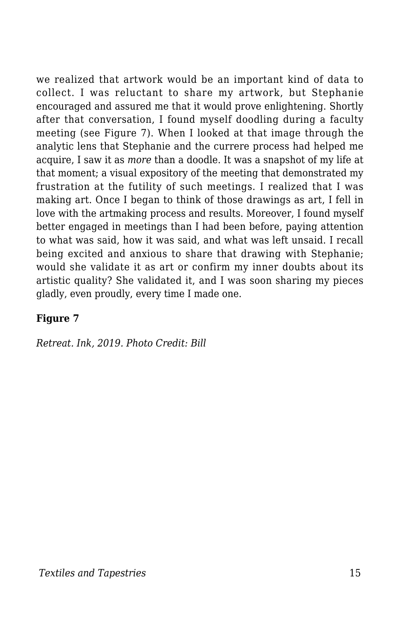we realized that artwork would be an important kind of data to collect. I was reluctant to share my artwork, but Stephanie encouraged and assured me that it would prove enlightening. Shortly after that conversation, I found myself doodling during a faculty meeting (see Figure 7). When I looked at that image through the analytic lens that Stephanie and the currere process had helped me acquire, I saw it as *more* than a doodle. It was a snapshot of my life at that moment; a visual expository of the meeting that demonstrated my frustration at the futility of such meetings. I realized that I was making art. Once I began to think of those drawings as art, I fell in love with the artmaking process and results. Moreover, I found myself better engaged in meetings than I had been before, paying attention to what was said, how it was said, and what was left unsaid. I recall being excited and anxious to share that drawing with Stephanie; would she validate it as art or confirm my inner doubts about its artistic quality? She validated it, and I was soon sharing my pieces gladly, even proudly, every time I made one.

#### **Figure 7**

*Retreat. Ink, 2019. Photo Credit: Bill*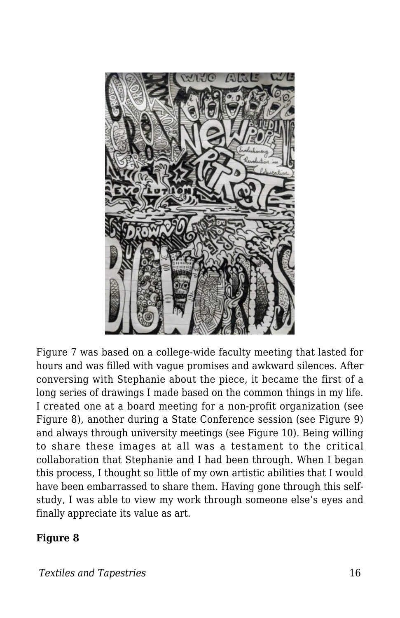

Figure 7 was based on a college-wide faculty meeting that lasted for hours and was filled with vague promises and awkward silences. After conversing with Stephanie about the piece, it became the first of a long series of drawings I made based on the common things in my life. I created one at a board meeting for a non-profit organization (see Figure 8), another during a State Conference session (see Figure 9) and always through university meetings (see Figure 10). Being willing to share these images at all was a testament to the critical collaboration that Stephanie and I had been through. When I began this process, I thought so little of my own artistic abilities that I would have been embarrassed to share them. Having gone through this selfstudy, I was able to view my work through someone else's eyes and finally appreciate its value as art.

#### **Figure 8**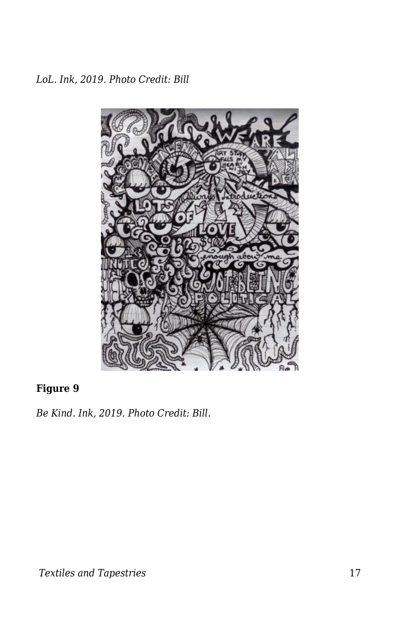*LoL. Ink, 2019. Photo Credit: Bill*



#### **Figure 9**

*Be Kind. Ink, 2019. Photo Credit: Bill.*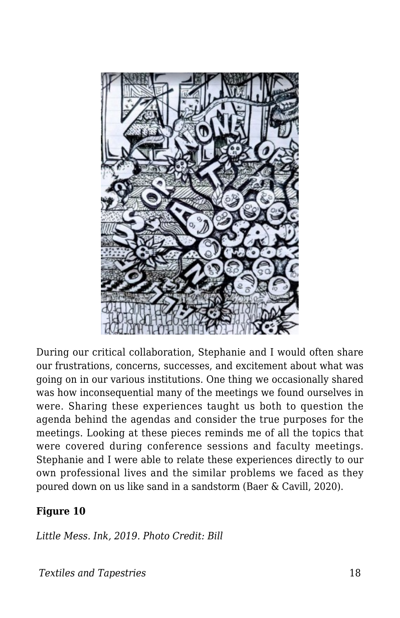

During our critical collaboration, Stephanie and I would often share our frustrations, concerns, successes, and excitement about what was going on in our various institutions. One thing we occasionally shared was how inconsequential many of the meetings we found ourselves in were. Sharing these experiences taught us both to question the agenda behind the agendas and consider the true purposes for the meetings. Looking at these pieces reminds me of all the topics that were covered during conference sessions and faculty meetings. Stephanie and I were able to relate these experiences directly to our own professional lives and the similar problems we faced as they poured down on us like sand in a sandstorm (Baer & Cavill, 2020).

#### **Figure 10**

*Little Mess. Ink, 2019. Photo Credit: Bill*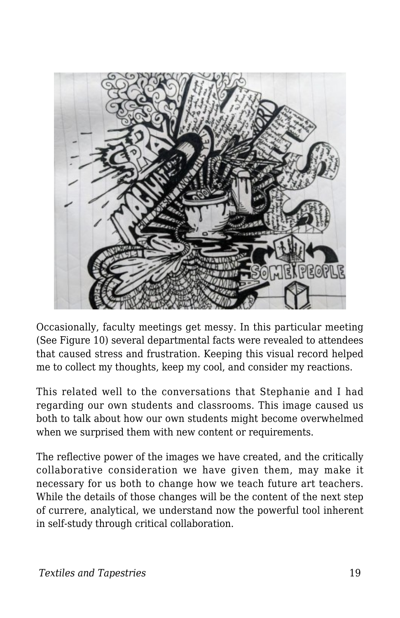

Occasionally, faculty meetings get messy. In this particular meeting (See Figure 10) several departmental facts were revealed to attendees that caused stress and frustration. Keeping this visual record helped me to collect my thoughts, keep my cool, and consider my reactions.

This related well to the conversations that Stephanie and I had regarding our own students and classrooms. This image caused us both to talk about how our own students might become overwhelmed when we surprised them with new content or requirements.

The reflective power of the images we have created, and the critically collaborative consideration we have given them, may make it necessary for us both to change how we teach future art teachers. While the details of those changes will be the content of the next step of currere, analytical, we understand now the powerful tool inherent in self-study through critical collaboration.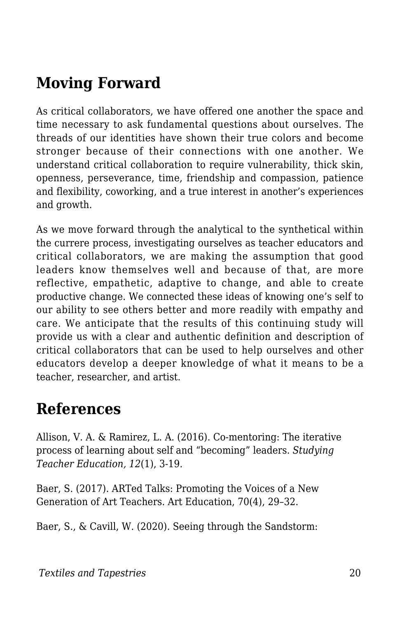# **Moving Forward**

As critical collaborators, we have offered one another the space and time necessary to ask fundamental questions about ourselves. The threads of our identities have shown their true colors and become stronger because of their connections with one another. We understand critical collaboration to require vulnerability, thick skin, openness, perseverance, time, friendship and compassion, patience and flexibility, coworking, and a true interest in another's experiences and growth.

As we move forward through the analytical to the synthetical within the currere process, investigating ourselves as teacher educators and critical collaborators, we are making the assumption that good leaders know themselves well and because of that, are more reflective, empathetic, adaptive to change, and able to create productive change. We connected these ideas of knowing one's self to our ability to see others better and more readily with empathy and care. We anticipate that the results of this continuing study will provide us with a clear and authentic definition and description of critical collaborators that can be used to help ourselves and other educators develop a deeper knowledge of what it means to be a teacher, researcher, and artist.

### **References**

Allison, V. A. & Ramirez, L. A. (2016). Co-mentoring: The iterative process of learning about self and "becoming" leaders. *Studying Teacher Education, 12*(1), 3-19.

Baer, S. (2017). ARTed Talks: Promoting the Voices of a New Generation of Art Teachers. Art Education, 70(4), 29–32.

Baer, S., & Cavill, W. (2020). Seeing through the Sandstorm: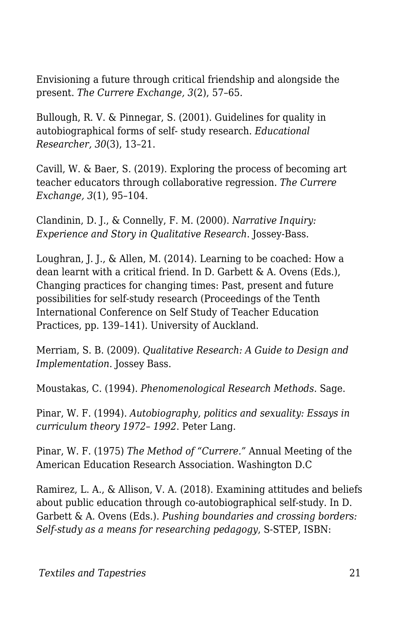Envisioning a future through critical friendship and alongside the present. *The Currere Exchange, 3*(2), 57–65*.*

Bullough, R. V. & Pinnegar, S. (2001). Guidelines for quality in autobiographical forms of self- study research. *Educational Researcher, 30*(3), 13–21.

Cavill, W. & Baer, S. (2019). Exploring the process of becoming art teacher educators through collaborative regression. *The Currere Exchange, 3*(1), 95–104.

Clandinin, D. J., & Connelly, F. M. (2000). *Narrative Inquiry: Experience and Story in Qualitative Research*. Jossey-Bass.

Loughran, J. J., & Allen, M. (2014). Learning to be coached: How a dean learnt with a critical friend. In D. Garbett & A. Ovens (Eds.), Changing practices for changing times: Past, present and future possibilities for self-study research (Proceedings of the Tenth International Conference on Self Study of Teacher Education Practices, pp. 139–141). University of Auckland.

Merriam, S. B. (2009). *Qualitative Research: A Guide to Design and Implementation*. Jossey Bass.

Moustakas, C. (1994). *Phenomenological Research Methods*. Sage.

Pinar, W. F. (1994). *Autobiography, politics and sexuality: Essays in curriculum theory 1972– 1992*. Peter Lang.

Pinar, W. F. (1975) *The Method of "Currere."* Annual Meeting of the American Education Research Association. Washington D.C

Ramirez, L. A., & Allison, V. A. (2018). Examining attitudes and beliefs about public education through co-autobiographical self-study. In D. Garbett & A. Ovens (Eds.). *Pushing boundaries and crossing borders: Self-study as a means for researching pedagogy*, S-STEP, ISBN: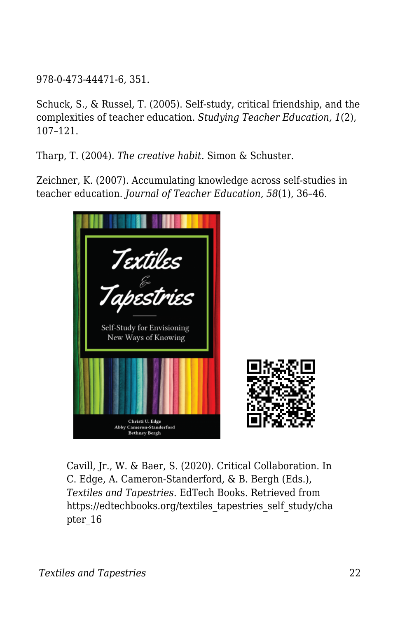978-0-473-44471-6, 351.

Schuck, S., & Russel, T. (2005). Self-study, critical friendship, and the complexities of teacher education. *Studying Teacher Education, 1*(2), 107–121.

Tharp, T. (2004). *The creative habit*. Simon & Schuster.

Zeichner, K. (2007). Accumulating knowledge across self-studies in teacher education. *Journal of Teacher Education, 58*(1), 36–46.



Cavill, Jr., W. & Baer, S. (2020). Critical Collaboration. In C. Edge, A. Cameron-Standerford, & B. Bergh (Eds.), *Textiles and Tapestries*. EdTech Books. Retrieved from https://edtechbooks.org/textiles\_tapestries\_self\_study/cha pter\_16